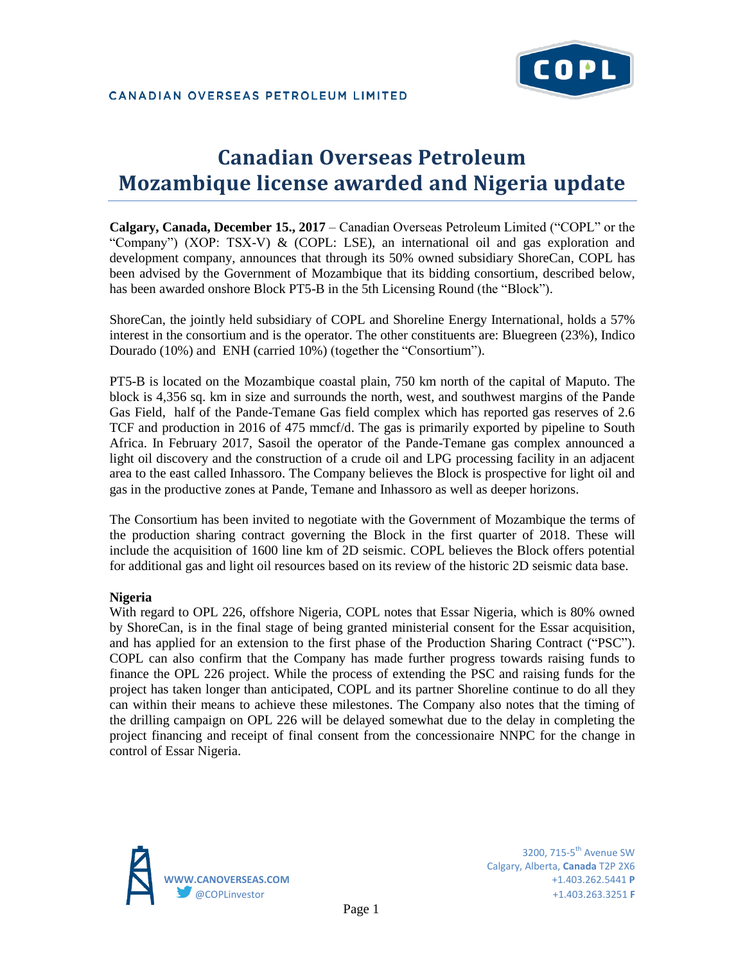

# **Canadian Overseas Petroleum Mozambique license awarded and Nigeria update**

**Calgary, Canada, December 15., 2017** – Canadian Overseas Petroleum Limited ("COPL" or the "Company") (XOP: TSX-V) & (COPL: LSE), an international oil and gas exploration and development company, announces that through its 50% owned subsidiary ShoreCan, COPL has been advised by the Government of Mozambique that its bidding consortium, described below, has been awarded onshore Block PT5-B in the 5th Licensing Round (the "Block").

ShoreCan, the jointly held subsidiary of COPL and Shoreline Energy International, holds a 57% interest in the consortium and is the operator. The other constituents are: Bluegreen (23%), Indico Dourado (10%) and ENH (carried 10%) (together the "Consortium").

PT5-B is located on the Mozambique coastal plain, 750 km north of the capital of Maputo. The block is 4,356 sq. km in size and surrounds the north, west, and southwest margins of the Pande Gas Field, half of the Pande-Temane Gas field complex which has reported gas reserves of 2.6 TCF and production in 2016 of 475 mmcf/d. The gas is primarily exported by pipeline to South Africa. In February 2017, Sasoil the operator of the Pande-Temane gas complex announced a light oil discovery and the construction of a crude oil and LPG processing facility in an adjacent area to the east called Inhassoro. The Company believes the Block is prospective for light oil and gas in the productive zones at Pande, Temane and Inhassoro as well as deeper horizons.

The Consortium has been invited to negotiate with the Government of Mozambique the terms of the production sharing contract governing the Block in the first quarter of 2018. These will include the acquisition of 1600 line km of 2D seismic. COPL believes the Block offers potential for additional gas and light oil resources based on its review of the historic 2D seismic data base.

### **Nigeria**

With regard to OPL 226, offshore Nigeria, COPL notes that Essar Nigeria, which is 80% owned by ShoreCan, is in the final stage of being granted ministerial consent for the Essar acquisition, and has applied for an extension to the first phase of the Production Sharing Contract ("PSC"). COPL can also confirm that the Company has made further progress towards raising funds to finance the OPL 226 project. While the process of extending the PSC and raising funds for the project has taken longer than anticipated, COPL and its partner Shoreline continue to do all they can within their means to achieve these milestones. The Company also notes that the timing of the drilling campaign on OPL 226 will be delayed somewhat due to the delay in completing the project financing and receipt of final consent from the concessionaire NNPC for the change in control of Essar Nigeria.



3200.  $715-5$ <sup>th</sup> Avenue SW Calgary, Alberta, **Canada** T2P 2X6 **WWW.CANOVERSEAS.COM** +1.403.262.5441 **P** @COPLinvestor +1.403.263.3251 **F**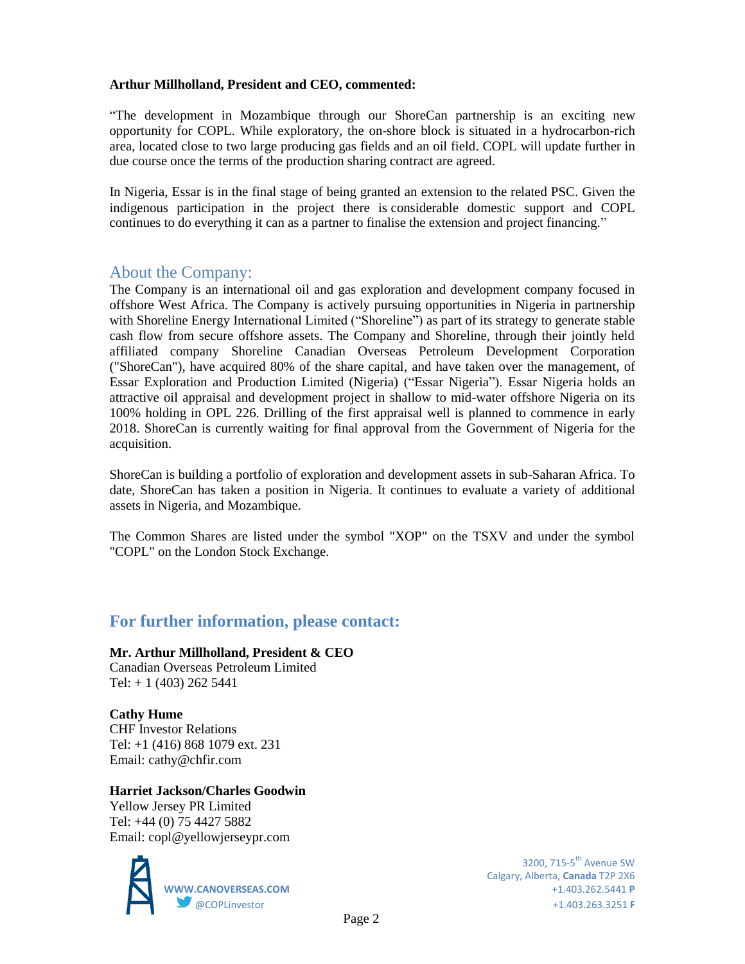### **Arthur Millholland, President and CEO, commented:**

"The development in Mozambique through our ShoreCan partnership is an exciting new opportunity for COPL. While exploratory, the on-shore block is situated in a hydrocarbon-rich area, located close to two large producing gas fields and an oil field. COPL will update further in due course once the terms of the production sharing contract are agreed.

In Nigeria, Essar is in the final stage of being granted an extension to the related PSC. Given the indigenous participation in the project there is considerable domestic support and COPL continues to do everything it can as a partner to finalise the extension and project financing."

## About the Company:

The Company is an international oil and gas exploration and development company focused in offshore West Africa. The Company is actively pursuing opportunities in Nigeria in partnership with Shoreline Energy International Limited ("Shoreline") as part of its strategy to generate stable cash flow from secure offshore assets. The Company and Shoreline, through their jointly held affiliated company Shoreline Canadian Overseas Petroleum Development Corporation ("ShoreCan"), have acquired 80% of the share capital, and have taken over the management, of Essar Exploration and Production Limited (Nigeria) ("Essar Nigeria"). Essar Nigeria holds an attractive oil appraisal and development project in shallow to mid-water offshore Nigeria on its 100% holding in OPL 226. Drilling of the first appraisal well is planned to commence in early 2018. ShoreCan is currently waiting for final approval from the Government of Nigeria for the acquisition.

ShoreCan is building a portfolio of exploration and development assets in sub-Saharan Africa. To date, ShoreCan has taken a position in Nigeria. It continues to evaluate a variety of additional assets in Nigeria, and Mozambique.

The Common Shares are listed under the symbol "XOP" on the TSXV and under the symbol "COPL" on the London Stock Exchange.

## **For further information, please contact:**

**Mr. Arthur Millholland, President & CEO** Canadian Overseas Petroleum Limited Tel:  $+ 1 (403) 262 5441$ 

**Cathy Hume** CHF Investor Relations Tel: +1 (416) 868 1079 ext. 231 Email: cathy@chfir.com

## **Harriet Jackson/Charles Goodwin**

Yellow Jersey PR Limited Tel: +44 (0) 75 4427 5882 Email: copl@yellowjerseypr.com



Calgary, Alberta, **Canada** T2P 2X6 **WWW.CANOVERSEAS.COM** +1.403.262.5441 **P** @COPLinvestor +1.403.263.3251 **F**